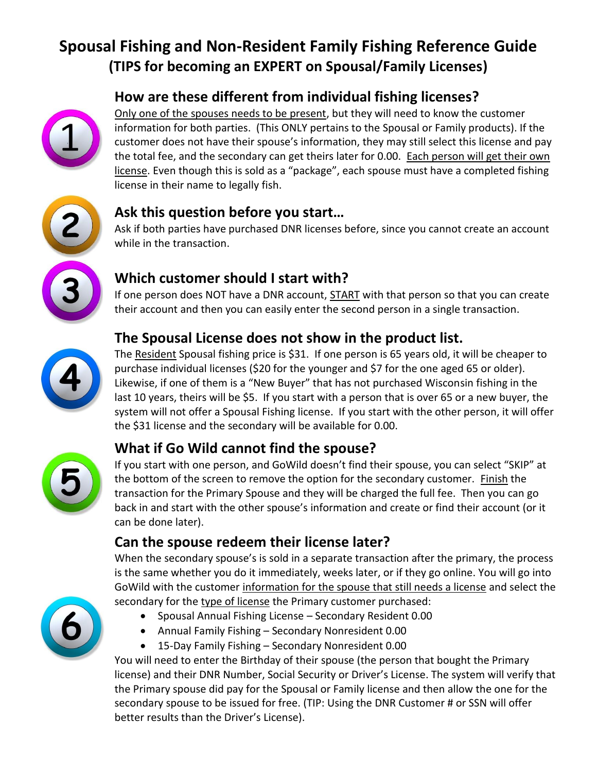# **Spousal Fishing and Non-Resident Family Fishing Reference Guide (TIPS for becoming an EXPERT on Spousal/Family Licenses)**

## **How are these different from individual fishing licenses?**



Only one of the spouses needs to be present, but they will need to know the customer information for both parties. (This ONLY pertains to the Spousal or Family products). If the customer does not have their spouse's information, they may still select this license and pay the total fee, and the secondary can get theirs later for 0.00. Each person will get their own license. Even though this is sold as a "package", each spouse must have a completed fishing license in their name to legally fish.



#### **Ask this question before you start…**

Ask if both parties have purchased DNR licenses before, since you cannot create an account while in the transaction.



If one person does NOT have a DNR account, **START** with that person so that you can create their account and then you can easily enter the second person in a single transaction.

## **The Spousal License does not show in the product list.**



The Resident Spousal fishing price is \$31. If one person is 65 years old, it will be cheaper to purchase individual licenses (\$20 for the younger and \$7 for the one aged 65 or older). Likewise, if one of them is a "New Buyer" that has not purchased Wisconsin fishing in the last 10 years, theirs will be \$5. If you start with a person that is over 65 or a new buyer, the system will not offer a Spousal Fishing license. If you start with the other person, it will offer the \$31 license and the secondary will be available for 0.00.

### **What if Go Wild cannot find the spouse?**



If you start with one person, and GoWild doesn't find their spouse, you can select "SKIP" at the bottom of the screen to remove the option for the secondary customer. Finish the transaction for the Primary Spouse and they will be charged the full fee. Then you can go back in and start with the other spouse's information and create or find their account (or it can be done later).

### **Can the spouse redeem their license later?**

When the secondary spouse's is sold in a separate transaction after the primary, the process is the same whether you do it immediately, weeks later, or if they go online. You will go into GoWild with the customer information for the spouse that still needs a license and select the secondary for the type of license the Primary customer purchased:

- Spousal Annual Fishing License Secondary Resident 0.00
- Annual Family Fishing Secondary Nonresident 0.00
- 15-Day Family Fishing Secondary Nonresident 0.00

You will need to enter the Birthday of their spouse (the person that bought the Primary license) and their DNR Number, Social Security or Driver's License. The system will verify that the Primary spouse did pay for the Spousal or Family license and then allow the one for the secondary spouse to be issued for free. (TIP: Using the DNR Customer # or SSN will offer better results than the Driver's License).